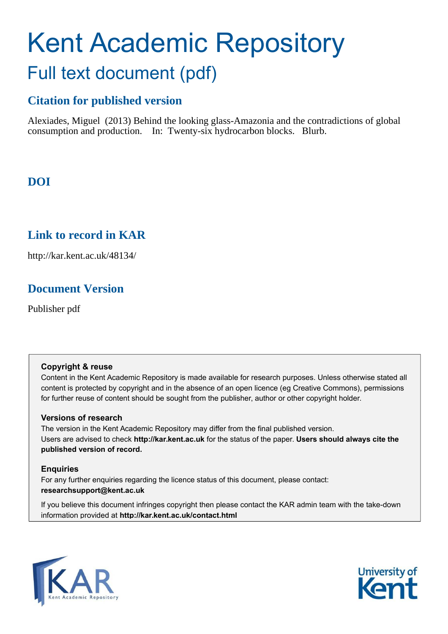## Kent Academic Repository Full text document (pdf)

## **Citation for published version**

Alexiades, Miguel (2013) Behind the looking glass-Amazonia and the contradictions of global consumption and production. In: Twenty-six hydrocarbon blocks. Blurb.

## **DOI**

### **Link to record in KAR**

http://kar.kent.ac.uk/48134/

### **Document Version**

Publisher pdf

### **Copyright & reuse**

Content in the Kent Academic Repository is made available for research purposes. Unless otherwise stated all content is protected by copyright and in the absence of an open licence (eg Creative Commons), permissions for further reuse of content should be sought from the publisher, author or other copyright holder.

### **Versions of research**

The version in the Kent Academic Repository may differ from the final published version. Users are advised to check **http://kar.kent.ac.uk** for the status of the paper. **Users should always cite the published version of record.**

### **Enquiries**

For any further enquiries regarding the licence status of this document, please contact: **researchsupport@kent.ac.uk**

If you believe this document infringes copyright then please contact the KAR admin team with the take-down information provided at **http://kar.kent.ac.uk/contact.html**



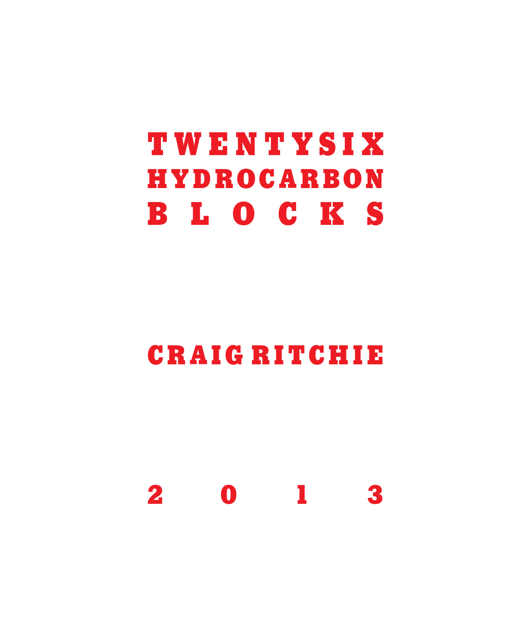# **TWENTYSIX HYDROCARBON BLOCKS**

## **CRAIG RITCHIE**

**2013**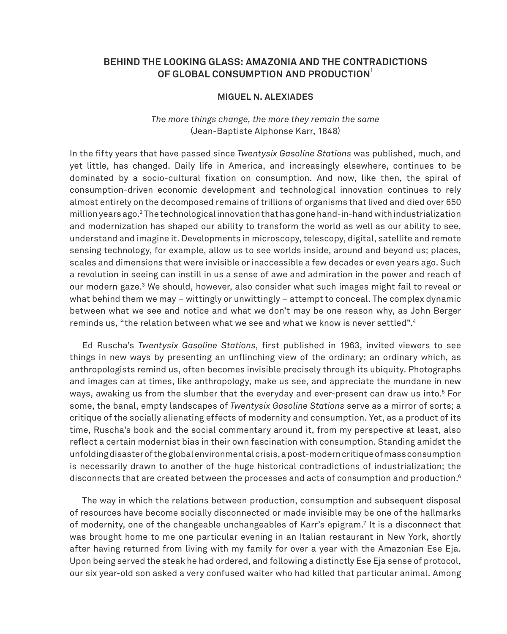### **BEHIND THE LOOKING GLASS: AMAZONIA AND THE CONTRADICTIONS OF GLOBAL CONSUMPTION AND PRODUCTION**<sup>1</sup>

### **MIGUEL N. ALEXIADES**

### *The more things change, the more they remain the same* (Jean-Baptiste Alphonse Karr, 1848)

In the fifty years that have passed since *Twentysix Gasoline Stations* was published, much, and yet little, has changed. Daily life in America, and increasingly elsewhere, continues to be dominated by a socio-cultural fixation on consumption. And now, like then, the spiral of consumption-driven economic development and technological innovation continues to rely almost entirely on the decomposed remains of trillions of organisms that lived and died over 650 million years ago.<sup>2</sup> The technological innovation that has gone hand-in-hand with industrialization and modernization has shaped our ability to transform the world as well as our ability to see, understand and imagine it. Developments in microscopy, telescopy, digital, satellite and remote sensing technology, for example, allow us to see worlds inside, around and beyond us; places, scales and dimensions that were invisible or inaccessible a few decades or even years ago. Such a revolution in seeing can instill in us a sense of awe and admiration in the power and reach of our modern gaze.<sup>3</sup> We should, however, also consider what such images might fail to reveal or what behind them we may – wittingly or unwittingly – attempt to conceal. The complex dynamic between what we see and notice and what we don't may be one reason why, as John Berger reminds us, "the relation between what we see and what we know is never settled".<sup>4</sup>

Ed Ruscha's *Twentysix Gasoline Stations*, first published in 1963, invited viewers to see things in new ways by presenting an unflinching view of the ordinary; an ordinary which, as anthropologists remind us, often becomes invisible precisely through its ubiquity. Photographs and images can at times, like anthropology, make us see, and appreciate the mundane in new ways, awaking us from the slumber that the everyday and ever-present can draw us into.<sup>5</sup> For some, the banal, empty landscapes of *Twentysix Gasoline Stations* serve as a mirror of sorts; a critique of the socially alienating effects of modernity and consumption. Yet, as a product of its time, Ruscha's book and the social commentary around it, from my perspective at least, also reflect a certain modernist bias in their own fascination with consumption. Standing amidst the unfolding disaster of the global environmental crisis, a post-modern critique of mass consumption is necessarily drawn to another of the huge historical contradictions of industrialization; the disconnects that are created between the processes and acts of consumption and production.<sup>6</sup>

The way in which the relations between production, consumption and subsequent disposal of resources have become socially disconnected or made invisible may be one of the hallmarks of modernity, one of the changeable unchangeables of Karr's epigram.<sup>7</sup> It is a disconnect that was brought home to me one particular evening in an Italian restaurant in New York, shortly after having returned from living with my family for over a year with the Amazonian Ese Eja. Upon being served the steak he had ordered, and following a distinctly Ese Eja sense of protocol, our six year-old son asked a very confused waiter who had killed that particular animal. Among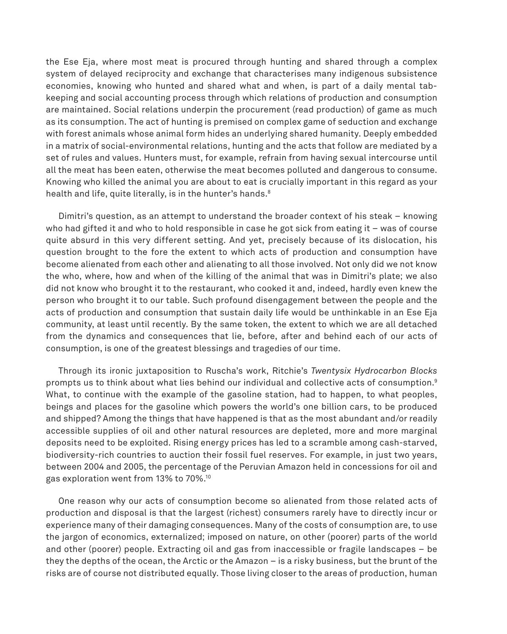the Ese Eja, where most meat is procured through hunting and shared through a complex system of delayed reciprocity and exchange that characterises many indigenous subsistence economies, knowing who hunted and shared what and when, is part of a daily mental tabkeeping and social accounting process through which relations of production and consumption are maintained. Social relations underpin the procurement (read production) of game as much as its consumption. The act of hunting is premised on complex game of seduction and exchange with forest animals whose animal form hides an underlying shared humanity. Deeply embedded in a matrix of social-environmental relations, hunting and the acts that follow are mediated by a set of rules and values. Hunters must, for example, refrain from having sexual intercourse until all the meat has been eaten, otherwise the meat becomes polluted and dangerous to consume. Knowing who killed the animal you are about to eat is crucially important in this regard as your health and life, quite literally, is in the hunter's hands.<sup>8</sup>

Dimitri's question, as an attempt to understand the broader context of his steak – knowing who had gifted it and who to hold responsible in case he got sick from eating it – was of course quite absurd in this very different setting. And yet, precisely because of its dislocation, his question brought to the fore the extent to which acts of production and consumption have become alienated from each other and alienating to all those involved. Not only did we not know the who, where, how and when of the killing of the animal that was in Dimitri's plate; we also did not know who brought it to the restaurant, who cooked it and, indeed, hardly even knew the person who brought it to our table. Such profound disengagement between the people and the acts of production and consumption that sustain daily life would be unthinkable in an Ese Eja community, at least until recently. By the same token, the extent to which we are all detached from the dynamics and consequences that lie, before, after and behind each of our acts of consumption, is one of the greatest blessings and tragedies of our time.

Through its ironic juxtaposition to Ruscha's work, Ritchie's *Twentysix Hydrocarbon Blocks* prompts us to think about what lies behind our individual and collective acts of consumption.<sup>9</sup> What, to continue with the example of the gasoline station, had to happen, to what peoples, beings and places for the gasoline which powers the world's one billion cars, to be produced and shipped? Among the things that have happened is that as the most abundant and/or readily accessible supplies of oil and other natural resources are depleted, more and more marginal deposits need to be exploited. Rising energy prices has led to a scramble among cash-starved, biodiversity-rich countries to auction their fossil fuel reserves. For example, in just two years, between 2004 and 2005, the percentage of the Peruvian Amazon held in concessions for oil and gas exploration went from 13% to 70%.<sup>10</sup>

One reason why our acts of consumption become so alienated from those related acts of production and disposal is that the largest (richest) consumers rarely have to directly incur or experience many of their damaging consequences. Many of the costs of consumption are, to use the jargon of economics, externalized; imposed on nature, on other (poorer) parts of the world and other (poorer) people. Extracting oil and gas from inaccessible or fragile landscapes – be they the depths of the ocean, the Arctic or the Amazon – is a risky business, but the brunt of the risks are of course not distributed equally. Those living closer to the areas of production, human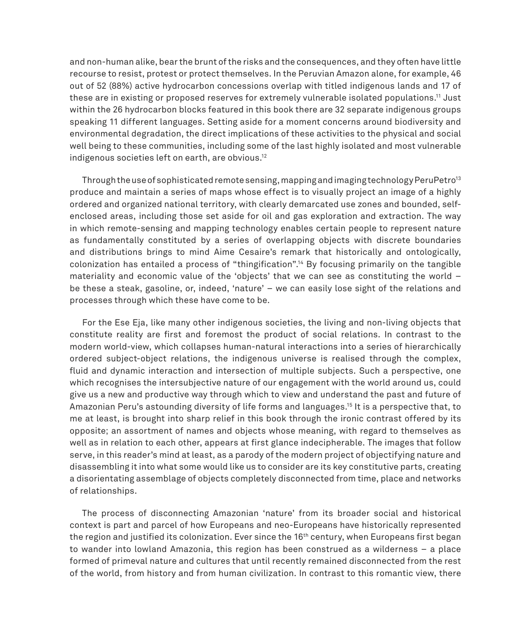and non-human alike, bear the brunt of the risks and the consequences, and they often have little recourse to resist, protest or protect themselves. In the Peruvian Amazon alone, for example, 46 out of 52 (88%) active hydrocarbon concessions overlap with titled indigenous lands and 17 of these are in existing or proposed reserves for extremely vulnerable isolated populations.<sup>11</sup> Just within the 26 hydrocarbon blocks featured in this book there are 32 separate indigenous groups speaking 11 different languages. Setting aside for a moment concerns around biodiversity and environmental degradation, the direct implications of these activities to the physical and social well being to these communities, including some of the last highly isolated and most vulnerable indigenous societies left on earth, are obvious.<sup>12</sup>

Through the use of sophisticated remote sensing, mapping and imaging technology PeruPetro<sup>13</sup> produce and maintain a series of maps whose effect is to visually project an image of a highly ordered and organized national territory, with clearly demarcated use zones and bounded, selfenclosed areas, including those set aside for oil and gas exploration and extraction. The way in which remote-sensing and mapping technology enables certain people to represent nature as fundamentally constituted by a series of overlapping objects with discrete boundaries and distributions brings to mind Aime Cesaire's remark that historically and ontologically, colonization has entailed a process of "thingification". <sup>14</sup> By focusing primarily on the tangible materiality and economic value of the 'objects' that we can see as constituting the world – be these a steak, gasoline, or, indeed, 'nature' – we can easily lose sight of the relations and processes through which these have come to be.

For the Ese Eja, like many other indigenous societies, the living and non-living objects that constitute reality are first and foremost the product of social relations. In contrast to the modern world-view, which collapses human-natural interactions into a series of hierarchically ordered subject-object relations, the indigenous universe is realised through the complex, fluid and dynamic interaction and intersection of multiple subjects. Such a perspective, one which recognises the intersubjective nature of our engagement with the world around us, could give us a new and productive way through which to view and understand the past and future of Amazonian Peru's astounding diversity of life forms and languages.<sup>15</sup> It is a perspective that, to me at least, is brought into sharp relief in this book through the ironic contrast offered by its opposite; an assortment of names and objects whose meaning, with regard to themselves as well as in relation to each other, appears at first glance indecipherable. The images that follow serve, in this reader's mind at least, as a parody of the modern project of objectifying nature and disassembling it into what some would like us to consider are its key constitutive parts, creating a disorientating assemblage of objects completely disconnected from time, place and networks of relationships.

The process of disconnecting Amazonian 'nature' from its broader social and historical context is part and parcel of how Europeans and neo-Europeans have historically represented the region and justified its colonization. Ever since the  $16<sup>th</sup>$  century, when Europeans first began to wander into lowland Amazonia, this region has been construed as a wilderness – a place formed of primeval nature and cultures that until recently remained disconnected from the rest of the world, from history and from human civilization. In contrast to this romantic view, there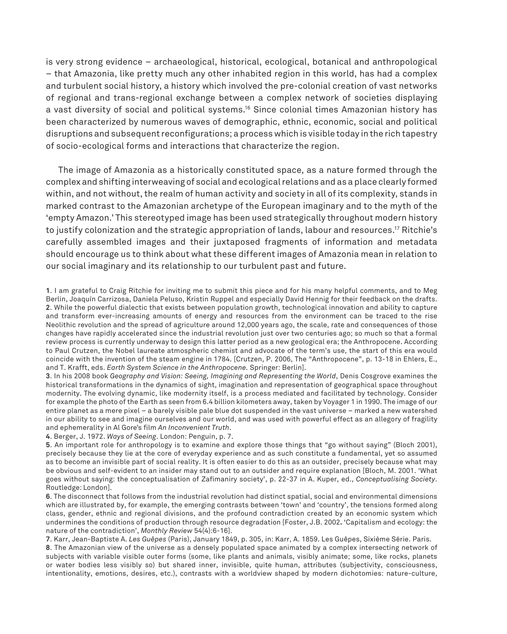is very strong evidence – archaeological, historical, ecological, botanical and anthropological – that Amazonia, like pretty much any other inhabited region in this world, has had a complex and turbulent social history, a history which involved the pre-colonial creation of vast networks of regional and trans-regional exchange between a complex network of societies displaying a vast diversity of social and political systems.<sup>16</sup> Since colonial times Amazonian history has been characterized by numerous waves of demographic, ethnic, economic, social and political disruptions and subsequent reconfigurations; a process which is visible today in the rich tapestry of socio-ecological forms and interactions that characterize the region.

The image of Amazonia as a historically constituted space, as a nature formed through the complex and shifting interweaving of social and ecological relations and as a place clearly formed within, and not without, the realm of human activity and society in all of its complexity, stands in marked contrast to the Amazonian archetype of the European imaginary and to the myth of the 'empty Amazon.' This stereotyped image has been used strategically throughout modern history to justify colonization and the strategic appropriation of lands, labour and resources.<sup>17</sup> Ritchie's carefully assembled images and their juxtaposed fragments of information and metadata should encourage us to think about what these different images of Amazonia mean in relation to our social imaginary and its relationship to our turbulent past and future.

**3**. In his 2008 book *Geography and Vision: Seeing, Imagining and Representing the World*, Denis Cosgrove examines the historical transformations in the dynamics of sight, imagination and representation of geographical space throughout modernity. The evolving dynamic, like modernity itself, is a process mediated and facilitated by technology. Consider for example the photo of the Earth as seen from 6.4 billion kilometers away, taken by Voyager 1 in 1990. The image of our entire planet as a mere pixel – a barely visible pale blue dot suspended in the vast universe – marked a new watershed in our ability to see and imagine ourselves and our world, and was used with powerful effect as an allegory of fragility and ephemerality in Al Gore's film *An Inconvenient Truth*.

**4**. Berger, J. 1972. *Ways of Seeing*. London: Penguin, p. 7.

**5**. An important role for anthropology is to examine and explore those things that "go without saying" (Bloch 2001), precisely because they lie at the core of everyday experience and as such constitute a fundamental, yet so assumed as to become an invisible part of social reality. It is often easier to do this as an outsider, precisely because what may be obvious and self-evident to an insider may stand out to an outsider and require explanation [Bloch, M. 2001. 'What goes without saying: the conceptualisation of Zafimaniry society', p. 22-37 in A. Kuper, ed., *Conceptualising Society*. Routledge: London].

**6**. The disconnect that follows from the industrial revolution had distinct spatial, social and environmental dimensions which are illustrated by, for example, the emerging contrasts between 'town' and 'country', the tensions formed along class, gender, ethnic and regional divisions, and the profound contradiction created by an economic system which undermines the conditions of production through resource degradation [Foster, J.B. 2002**.** 'Capitalism and ecology: the nature of the contradiction', *Monthly Review* 54(4):6-16].

**7**. Karr, Jean-Baptiste A. *Les Guêpes* (Paris), January 1849, p. 305, in: Karr, A. 1859. Les Guêpes, Sixième Série. Paris.

**8**. The Amazonian view of the universe as a densely populated space animated by a complex intersecting network of subjects with variable visible outer forms (some, like plants and animals, visibly animate; some, like rocks, planets or water bodies less visibly so) but shared inner, invisible, quite human, attributes (subjectivity, consciousness, intentionality, emotions, desires, etc.), contrasts with a worldview shaped by modern dichotomies: nature-culture,

**<sup>1</sup>**. I am grateful to Craig Ritchie for inviting me to submit this piece and for his many helpful comments, and to Meg Berlin, Joaquín Carrizosa, Daniela Peluso, Kristin Ruppel and especially David Hennig for their feedback on the drafts. **2**. While the powerful dialectic that exists between population growth, technological innovation and ability to capture and transform ever-increasing amounts of energy and resources from the environment can be traced to the rise Neolithic revolution and the spread of agriculture around 12,000 years ago, the scale, rate and consequences of those changes have rapidly accelerated since the industrial revolution just over two centuries ago; so much so that a formal review process is currently underway to design this latter period as a new geological era; the Anthropocene. According to Paul Crutzen, the Nobel laureate atmospheric chemist and advocate of the term's use, the start of this era would coincide with the invention of the steam engine in 1784. [Crutzen, P. 2006, The "Anthropocene", p. 13-18 in Ehlers, E., and T. Krafft, eds. *Earth System Science in the Anthropocene.* Springer: Berlin].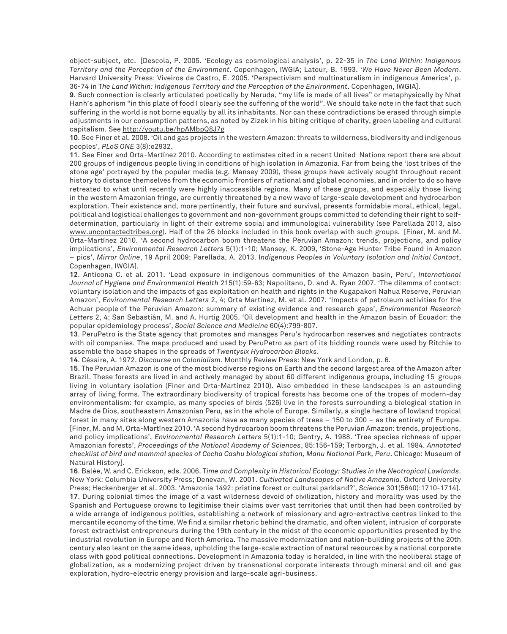object-subject, etc. [Descola, P. 2005. 'Ecology as cosmological analysis', p. 22-35 in *The Land Within: Indigenous Territory and the Perception of the Environment*. Copenhagen, IWGIA; Latour, B. 1993. '*We Have Never Been Modern*. Harvard University Press; Viveiros de Castro, E. 2005. **'**Perspectivism and multinaturalism in indigenous America', p. 36-74 in T*he Land Within: Indigenous Territory and the Perception of the Environment*. Copenhagen, IWGIA].

**9**. Such connection is clearly articulated poetically by Neruda, "my life is made of all lives" or metaphysically by Nhat Hanh's aphorism "in this plate of food I clearly see the suffering of the world". We should take note in the fact that such suffering in the world is not borne equally by all its inhabitants. Nor can these contradictions be erased through simple adjustments in our consumption patterns, as noted by Zizek in his biting critique of charity, green labeling and cultural capitalism. See http://youtu.be/hpAMbpQ8J7g

**10**. See Finer et al. 2008. 'Oil and gas projects in the western Amazon: threats to wilderness, biodiversity and indigenous peoples', *PLoS ONE* 3(8):e2932.

**11**. See Finer and Orta-Martínez 2010. According to estimates cited in a recent United Nations report there are about 200 groups of indigenous people living in conditions of high isolation in Amazonia. Far from being the 'lost tribes of the stone age' portrayed by the popular media (e.g. Mansey 2009), these groups have actively sought throughout recent history to distance themselves from the economic frontiers of national and global economies, and in order to do so have retreated to what until recently were highly inaccessible regions. Many of these groups, and especially those living in the western Amazonian fringe, are currently threatened by a new wave of large-scale development and hydrocarbon exploration. Their existence and, more pertinently, their future and survival, presents formidable moral, ethical, legal, political and logistical challenges to government and non-government groups committed to defending their right to selfdetermination, particularly in light of their extreme social and immunological vulnerability (see Parellada 2013, also www.uncontactedtribes.org). Half of the 26 blocks included in this book overlap with such groups. [Finer, M. and M. Orta-Martínez 2010. 'A second hydrocarbon boom threatens the Peruvian Amazon: trends, projections, and policy implications', *Environmental Research Letters* 5(1):1-10; Mansey, K. 2009, 'Stone-Age Hunter Tribe Found in Amazon – pics', *Mirror Online*, 19 April 2009; Parellada, A. 2013. I*ndigenous Peoples in Voluntary Isolation and Initial Contact*, Copenhagen, IWGIA].

**12**. Anticona C. et al. 2011. 'Lead exposure in indigenous communities of the Amazon basin, Peru', *International Journal of Hygiene and Environmental Health* 215(1):59-63; Napolitano, D. and A. Ryan 2007. 'The dilemma of contact: voluntary isolation and the impacts of gas exploitation on health and rights in the Kugapakori Nahua Reserve, Peruvian Amazon', *Environmental Research Letters* 2, 4; Orta Martínez, M. et al. 2007. 'Impacts of petroleum activities for the Achuar people of the Peruvian Amazon: summary of existing evidence and research gaps', *Environmental Research Letters* 2, 4; San Sebastián, M. and A. Hurtig 2005. 'Oil development and health in the Amazon basin of Ecuador: the popular epidemiology process', *Social Science and Medicine* 60(4):799-807.

**13**. PeruPetro is the State agency that promotes and manages Peru's hydrocarbon reserves and negotiates contracts with oil companies. The maps produced and used by PeruPetro as part of its bidding rounds were used by Ritchie to assemble the base shapes in the spreads of *Twentysix Hydrocarbon Blocks*.

**14**. Césaire, A. 1972. *Discourse on Colonialism*. Monthly Review Press: New York and London, p. 6.

**15**. The Peruvian Amazon is one of the most biodiverse regions on Earth and the second largest area of the Amazon after Brazil. These forests are lived in and actively managed by about 60 different indigenous groups, including 15 groups living in voluntary isolation (Finer and Orta-Martínez 2010). Also embedded in these landscapes is an astounding array of living forms. The extraordinary biodiversity of tropical forests has become one of the tropes of modern-day environmentalism: for example, as many species of birds (526) live in the forests surrounding a biological station in Madre de Dios, southeastern Amazonian Peru, as in the whole of Europe. Similarly, a single hectare of lowland tropical forest in many sites along western Amazonia have as many species of trees – 150 to 300 – as the entirety of Europe. [Finer, M. and M. Orta-Martínez 2010. 'A second hydrocarbon boom threatens the Peruvian Amazon: trends, projections, and policy implications', *Environmental Research Letters* 5(1):1-10; Gentry, A. 1988. 'Tree species richness of upper Amazonian forests', *Proceedings of the National Academy of Sciences*, 85:156-159; Terborgh, J. et al. 1984. *Annotated checklist of bird and mammal species of Cocha Cashu biological station, Manu National Park, Peru*. Chicago: Museum of Natural History].

**16**. Balée, W. and C. Erickson, eds. 2006. T*ime and Complexity in Historical Ecology: Studies in the Neotropical Lowlands*. New York: Columbia University Press; Denevan, W. 2001. *Cultivated Landscapes of Native Amazonia*. Oxford University Press; Heckenberger et al. 2003. 'Amazonia 1492: pristine forest or cultural parkland?', *Science* 301(5640):1710-1714]. **17**. During colonial times the image of a vast wilderness devoid of civilization, history and morality was used by the Spanish and Portuguese crowns to legitimise their claims over vast territories that until then had been controlled by a wide arrange of indigenous polities, establishing a network of missionary and agro-extractive centres linked to the mercantile economy of the time. We find a similar rhetoric behind the dramatic, and often violent, intrusion of corporate forest extractivist entrepreneurs during the 19th century in the midst of the economic opportunities presented by the industrial revolution in Europe and North America. The massive modernization and nation-building projects of the 20th century also leant on the same ideas, upholding the large-scale extraction of natural resources by a national corporate class with good political connections. Development in Amazonia today is heralded, in line with the neoliberal stage of globalization, as a modernizing project driven by transnational corporate interests through mineral and oil and gas exploration, hydro-electric energy provision and large-scale agri-business.